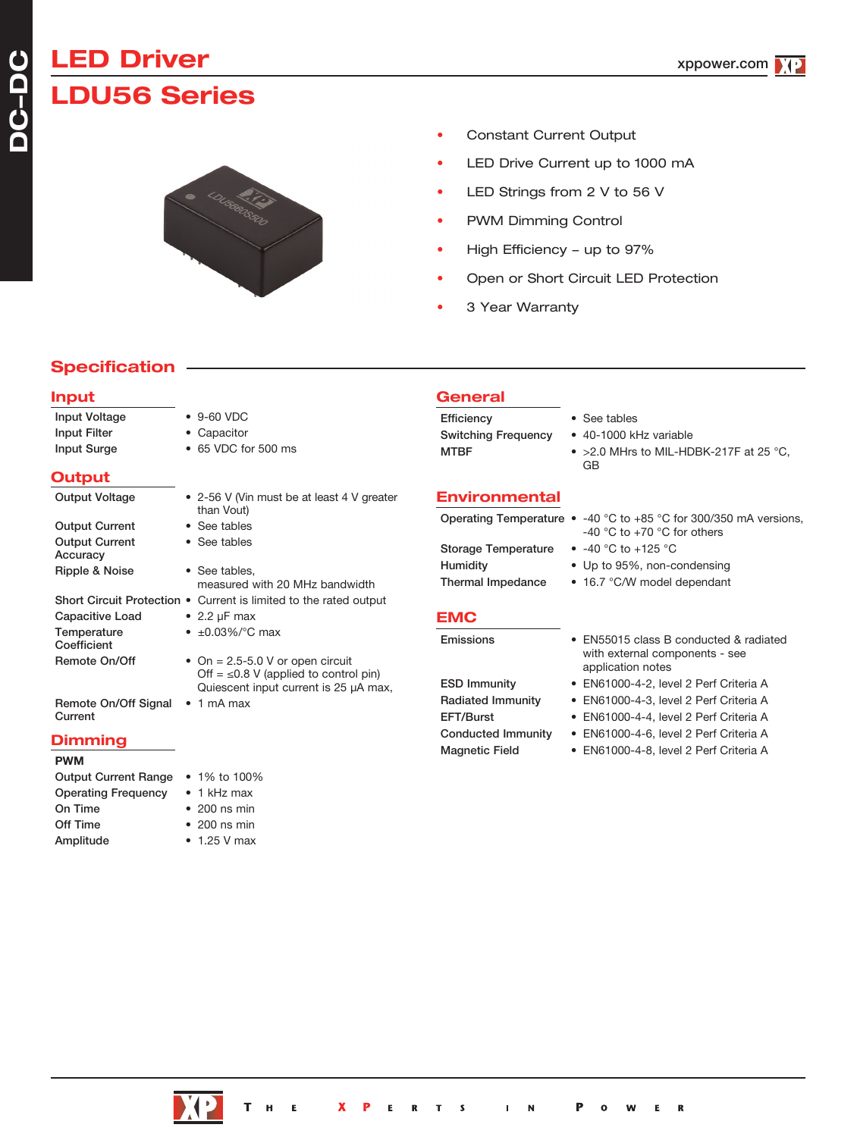# **LED Driver LDU56 Series**



- Constant Current Output
- LED Drive Current up to 1000 mA
- LED Strings from 2 V to 56 V
- PWM Dimming Control
- High Efficiency up to 97%
- Open or Short Circuit LED Protection
- 3 Year Warranty

**General**

## **Specification**

#### **Input**

| <b>Input Voltage</b><br>Input Filter<br>Input Surge | $\bullet$ 9-60 VDC<br>• Capacitor<br>• 65 VDC for 500 ms                            | Efficiency<br><b>Switching Frequency</b><br><b>MTBF</b> | • See tables<br>• 40-1000 kHz variable<br>$\bullet$ >2.0 MHrs to MIL-HDBK-217F at 25 °C.<br>GB           |
|-----------------------------------------------------|-------------------------------------------------------------------------------------|---------------------------------------------------------|----------------------------------------------------------------------------------------------------------|
| Output                                              |                                                                                     |                                                         |                                                                                                          |
| <b>Output Voltage</b>                               | • 2-56 V (Vin must be at least 4 V greater                                          | <b>Environmental</b>                                    |                                                                                                          |
| <b>Output Current</b>                               | than Vout)<br>• See tables                                                          |                                                         | Operating Temperature $\bullet$ -40 °C to +85 °C for 300/350 mA versions,<br>-40 °C to +70 °C for others |
| <b>Output Current</b><br>Accuracy                   | • See tables                                                                        | <b>Storage Temperature</b>                              | • $-40$ °C to $+125$ °C                                                                                  |
| Ripple & Noise                                      | • See tables,<br>measured with 20 MHz bandwidth                                     | Humidity<br>Thermal Impedance                           | • Up to 95%, non-condensing<br>• 16.7 °C/W model dependant                                               |
|                                                     | Short Circuit Protection • Current is limited to the rated output                   |                                                         |                                                                                                          |
| Capacitive Load                                     | • 2.2 $\mu$ F max                                                                   | <b>EMC</b>                                              |                                                                                                          |
| Temperature<br>Coefficient                          | • $\pm 0.03\%$ / °C max                                                             | Emissions                                               | • EN55015 class B conducted & radiated                                                                   |
| Remote On/Off                                       | • On = $2.5 - 5.0$ V or open circuit<br>Off = $\leq$ 0.8 V (applied to control pin) |                                                         | with external components - see<br>application notes                                                      |
|                                                     | Quiescent input current is 25 µA max,                                               | <b>ESD Immunity</b>                                     | • EN61000-4-2, level 2 Perf Criteria A                                                                   |
| Remote On/Off Signal                                | $\bullet$ 1 mA max                                                                  | <b>Radiated Immunity</b>                                | • EN61000-4-3, level 2 Perf Criteria A                                                                   |
| Current                                             |                                                                                     | EFT/Burst                                               | • EN61000-4-4, level 2 Perf Criteria A                                                                   |
| <b>Dimming</b>                                      |                                                                                     | Conducted Immunity                                      | • EN61000-4-6, level 2 Perf Criteria A                                                                   |
|                                                     |                                                                                     | <b>Magnetic Field</b>                                   | • EN61000-4-8, level 2 Perf Criteria A                                                                   |



#### **PWM**

| <b>Output Current Range</b> | • 1% to 100%         |
|-----------------------------|----------------------|
| Operating Frequency         | $\bullet$ 1 kHz max  |
| On Time                     | $\cdot$ 200 ns min   |
| Off Time                    | $\bullet$ 200 ns min |
| Amplitude                   | $\bullet$ 1.25 V max |